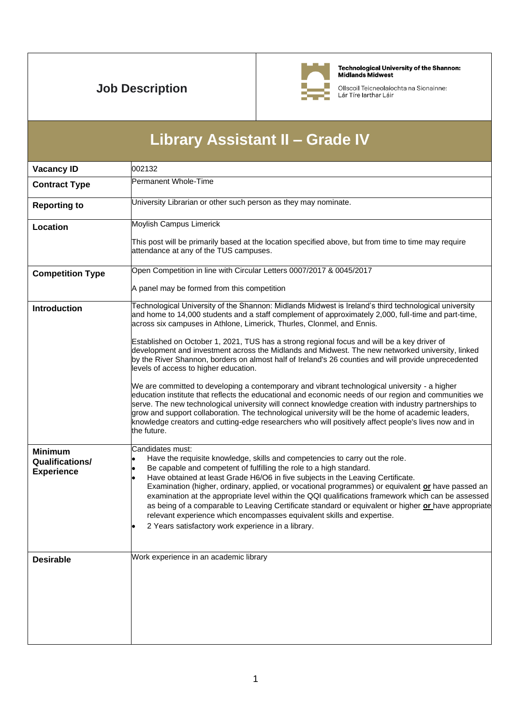## **Job Description**



Technological University of the Shannon:<br>Midlands Midwest

Ollscoil Teicneolaíochta na Sionainne:<br>Lár Tíre Iarthar Láir

| Library Assistant II - Grade IV                               |                                                                                                                                                                                                                                                                                                                                                                                                                                                                                                                                                                                                                                                                                                               |  |
|---------------------------------------------------------------|---------------------------------------------------------------------------------------------------------------------------------------------------------------------------------------------------------------------------------------------------------------------------------------------------------------------------------------------------------------------------------------------------------------------------------------------------------------------------------------------------------------------------------------------------------------------------------------------------------------------------------------------------------------------------------------------------------------|--|
| <b>Vacancy ID</b>                                             | 002132                                                                                                                                                                                                                                                                                                                                                                                                                                                                                                                                                                                                                                                                                                        |  |
| <b>Contract Type</b>                                          | Permanent Whole-Time                                                                                                                                                                                                                                                                                                                                                                                                                                                                                                                                                                                                                                                                                          |  |
| <b>Reporting to</b>                                           | University Librarian or other such person as they may nominate.                                                                                                                                                                                                                                                                                                                                                                                                                                                                                                                                                                                                                                               |  |
| Location                                                      | Moylish Campus Limerick                                                                                                                                                                                                                                                                                                                                                                                                                                                                                                                                                                                                                                                                                       |  |
|                                                               | This post will be primarily based at the location specified above, but from time to time may require<br>attendance at any of the TUS campuses.                                                                                                                                                                                                                                                                                                                                                                                                                                                                                                                                                                |  |
| <b>Competition Type</b>                                       | Open Competition in line with Circular Letters 0007/2017 & 0045/2017                                                                                                                                                                                                                                                                                                                                                                                                                                                                                                                                                                                                                                          |  |
|                                                               | A panel may be formed from this competition                                                                                                                                                                                                                                                                                                                                                                                                                                                                                                                                                                                                                                                                   |  |
| <b>Introduction</b>                                           | Technological University of the Shannon: Midlands Midwest is Ireland's third technological university<br>and home to 14,000 students and a staff complement of approximately 2,000, full-time and part-time,<br>across six campuses in Athlone, Limerick, Thurles, Clonmel, and Ennis.                                                                                                                                                                                                                                                                                                                                                                                                                        |  |
|                                                               | Established on October 1, 2021, TUS has a strong regional focus and will be a key driver of<br>development and investment across the Midlands and Midwest. The new networked university, linked<br>by the River Shannon, borders on almost half of Ireland's 26 counties and will provide unprecedented<br>levels of access to higher education.                                                                                                                                                                                                                                                                                                                                                              |  |
|                                                               | We are committed to developing a contemporary and vibrant technological university - a higher<br>education institute that reflects the educational and economic needs of our region and communities we<br>serve. The new technological university will connect knowledge creation with industry partnerships to<br>grow and support collaboration. The technological university will be the home of academic leaders,<br>knowledge creators and cutting-edge researchers who will positively affect people's lives now and in<br>the future.                                                                                                                                                                  |  |
| <b>Minimum</b><br><b>Qualifications/</b><br><b>Experience</b> | Candidates must:<br>Have the requisite knowledge, skills and competencies to carry out the role.<br>Be capable and competent of fulfilling the role to a high standard.<br>Have obtained at least Grade H6/O6 in five subjects in the Leaving Certificate.<br>Examination (higher, ordinary, applied, or vocational programmes) or equivalent or have passed an<br>examination at the appropriate level within the QQI qualifications framework which can be assessed<br>as being of a comparable to Leaving Certificate standard or equivalent or higher or have appropriate<br>relevant experience which encompasses equivalent skills and expertise.<br>2 Years satisfactory work experience in a library. |  |
| <b>Desirable</b>                                              | Work experience in an academic library                                                                                                                                                                                                                                                                                                                                                                                                                                                                                                                                                                                                                                                                        |  |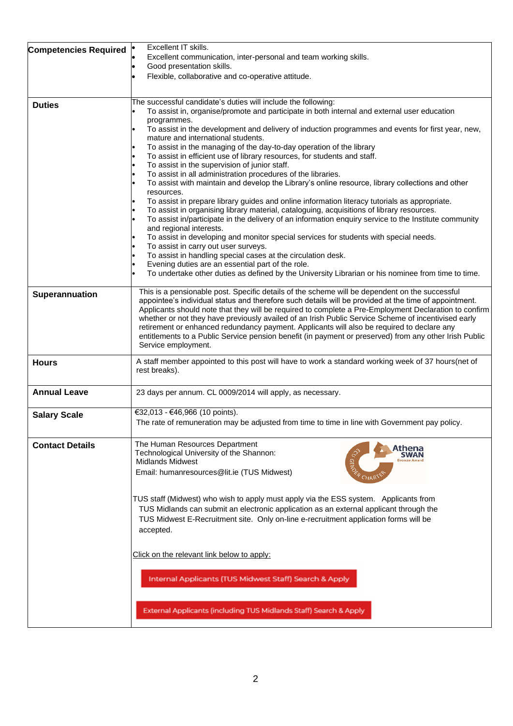| <b>Competencies Required</b> | Excellent IT skills.<br>Excellent communication, inter-personal and team working skills.                                                                                                                       |
|------------------------------|----------------------------------------------------------------------------------------------------------------------------------------------------------------------------------------------------------------|
|                              | Good presentation skills.                                                                                                                                                                                      |
|                              | Flexible, collaborative and co-operative attitude.                                                                                                                                                             |
|                              |                                                                                                                                                                                                                |
| <b>Duties</b>                | The successful candidate's duties will include the following:                                                                                                                                                  |
|                              | To assist in, organise/promote and participate in both internal and external user education                                                                                                                    |
|                              | programmes.<br>To assist in the development and delivery of induction programmes and events for first year, new,                                                                                               |
|                              | mature and international students.                                                                                                                                                                             |
|                              | To assist in the managing of the day-to-day operation of the library                                                                                                                                           |
|                              | To assist in efficient use of library resources, for students and staff.                                                                                                                                       |
|                              | To assist in the supervision of junior staff.<br>To assist in all administration procedures of the libraries.                                                                                                  |
|                              | To assist with maintain and develop the Library's online resource, library collections and other                                                                                                               |
|                              | resources.                                                                                                                                                                                                     |
|                              | To assist in prepare library guides and online information literacy tutorials as appropriate.                                                                                                                  |
|                              | To assist in organising library material, cataloguing, acquisitions of library resources.<br>To assist in/participate in the delivery of an information enquiry service to the Institute community             |
|                              | and regional interests.                                                                                                                                                                                        |
|                              | To assist in developing and monitor special services for students with special needs.                                                                                                                          |
|                              | To assist in carry out user surveys.                                                                                                                                                                           |
|                              | To assist in handling special cases at the circulation desk.<br>Evening duties are an essential part of the role.                                                                                              |
|                              | To undertake other duties as defined by the University Librarian or his nominee from time to time.                                                                                                             |
|                              |                                                                                                                                                                                                                |
| Superannuation               | This is a pensionable post. Specific details of the scheme will be dependent on the successful                                                                                                                 |
|                              | appointee's individual status and therefore such details will be provided at the time of appointment.<br>Applicants should note that they will be required to complete a Pre-Employment Declaration to confirm |
|                              | whether or not they have previously availed of an Irish Public Service Scheme of incentivised early                                                                                                            |
|                              | retirement or enhanced redundancy payment. Applicants will also be required to declare any                                                                                                                     |
|                              | entitlements to a Public Service pension benefit (in payment or preserved) from any other Irish Public<br>Service employment.                                                                                  |
|                              |                                                                                                                                                                                                                |
| <b>Hours</b>                 | A staff member appointed to this post will have to work a standard working week of 37 hours(net of                                                                                                             |
|                              | rest breaks).                                                                                                                                                                                                  |
| <b>Annual Leave</b>          | 23 days per annum. CL 0009/2014 will apply, as necessary.                                                                                                                                                      |
|                              |                                                                                                                                                                                                                |
| <b>Salary Scale</b>          | €32,013 - €46,966 (10 points).                                                                                                                                                                                 |
|                              | The rate of remuneration may be adjusted from time to time in line with Government pay policy.                                                                                                                 |
|                              | The Human Resources Department                                                                                                                                                                                 |
| <b>Contact Details</b>       | Athena<br>Technological University of the Shannon:<br>SWAN                                                                                                                                                     |
|                              | <b>CO GEND</b><br><b>Midlands Midwest</b><br><b>Bronze Awar</b>                                                                                                                                                |
|                              | Email: humanresources@lit.ie (TUS Midwest)<br>СНАВ                                                                                                                                                             |
|                              |                                                                                                                                                                                                                |
|                              | TUS staff (Midwest) who wish to apply must apply via the ESS system. Applicants from                                                                                                                           |
|                              | TUS Midlands can submit an electronic application as an external applicant through the                                                                                                                         |
|                              | TUS Midwest E-Recruitment site. Only on-line e-recruitment application forms will be                                                                                                                           |
|                              | accepted.                                                                                                                                                                                                      |
|                              |                                                                                                                                                                                                                |
|                              | Click on the relevant link below to apply:                                                                                                                                                                     |
|                              |                                                                                                                                                                                                                |
|                              | Internal Applicants (TUS Midwest Staff) Search & Apply                                                                                                                                                         |
|                              |                                                                                                                                                                                                                |
|                              |                                                                                                                                                                                                                |
|                              | External Applicants (including TUS Midlands Staff) Search & Apply                                                                                                                                              |
|                              |                                                                                                                                                                                                                |